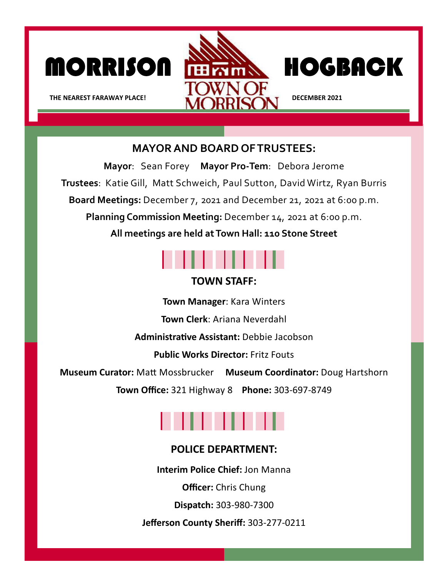



### **MAYOR AND BOARD OF TRUSTEES:**

**Mayor**: Sean Forey **Mayor Pro‐Tem**: Debora Jerome **Trustees**: Katie Gill, Matt Schweich, Paul Sutton, David Wirtz, Ryan Burris **Board Meetings:** December 7, 2021 and December 21, 2021 at 6:00 p.m. **Planning Commission Meeting:** December 14, 2021 at 6:00 p.m. **All meetings are held at Town Hall: 110 Stone Street** 



### **TOWN STAFF:**

**Town Manager**: Kara Winters

**Town Clerk**: Ariana Neverdahl

**AdministraƟve Assistant:** Debbie Jacobson

**Public Works Director:** Fritz Fouts

**Museum Curator:** MaƩ Mossbrucker **Museum Coordinator:** Doug Hartshorn

**Town Office:** 321 Highway 8 **Phone:** 303‐697‐8749

## 

#### **POLICE DEPARTMENT:**

**Interim Police Chief:** Jon Manna

**Officer:** Chris Chung

**Dispatch:** 303‐980‐7300

**Jefferson County Sheriff:** 303‐277‐0211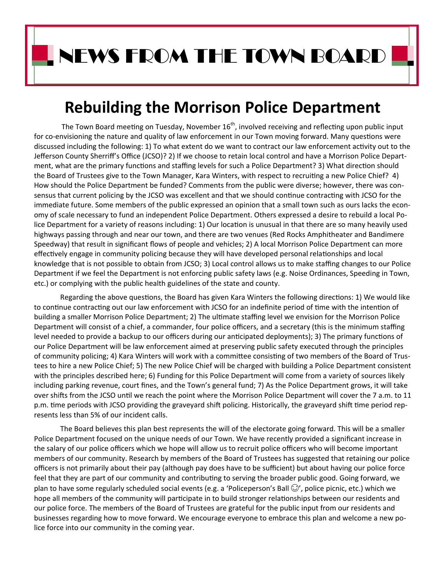## NEWS FROM THE TOWN BOARD

### **Rebuilding the Morrison Police Department**

The Town Board meeting on Tuesday, November 16<sup>th</sup>, involved receiving and reflecting upon public input for co-envisioning the nature and quality of law enforcement in our Town moving forward. Many questions were discussed including the following: 1) To what extent do we want to contract our law enforcement activity out to the Jefferson County Sherriff's Office (JCSO)? 2) If we choose to retain local control and have a Morrison Police Depart‐ ment, what are the primary functions and staffing levels for such a Police Department? 3) What direction should the Board of Trustees give to the Town Manager, Kara Winters, with respect to recruiting a new Police Chief? 4) How should the Police Department be funded? Comments from the public were diverse; however, there was con‐ sensus that current policing by the JCSO was excellent and that we should continue contracting with JCSO for the immediate future. Some members of the public expressed an opinion that a small town such as ours lacks the economy of scale necessary to fund an independent Police Department. Others expressed a desire to rebuild a local Po‐ lice Department for a variety of reasons including: 1) Our location is unusual in that there are so many heavily used highways passing through and near our town, and there are two venues (Red Rocks Amphitheater and Bandimere Speedway) that result in significant flows of people and vehicles; 2) A local Morrison Police Department can more effectively engage in community policing because they will have developed personal relationships and local knowledge that is not possible to obtain from JCSO; 3) Local control allows us to make staffing changes to our Police Department if we feel the Department is not enforcing public safety laws (e.g. Noise Ordinances, Speeding in Town, etc.) or complying with the public health guidelines of the state and county.

Regarding the above questions, the Board has given Kara Winters the following directions: 1) We would like to continue contracting out our law enforcement with JCSO for an indefinite period of time with the intention of building a smaller Morrison Police Department; 2) The ultimate staffing level we envision for the Morrison Police Department will consist of a chief, a commander, four police officers, and a secretary (this is the minimum staffing level needed to provide a backup to our officers during our anticipated deployments); 3) The primary functions of our Police Department will be law enforcement aimed at preserving public safety executed through the principles of community policing; 4) Kara Winters will work with a committee consisting of two members of the Board of Trustees to hire a new Police Chief; 5) The new Police Chief will be charged with building a Police Department consistent with the principles described here; 6) Funding for this Police Department will come from a variety of sources likely including parking revenue, court fines, and the Town's general fund; 7) As the Police Department grows, it will take over shifts from the JCSO until we reach the point where the Morrison Police Department will cover the 7 a.m. to 11 p.m. time periods with JCSO providing the graveyard shift policing. Historically, the graveyard shift time period represents less than 5% of our incident calls.

The Board believes this plan best represents the will of the electorate going forward. This will be a smaller Police Department focused on the unique needs of our Town. We have recently provided a significant increase in the salary of our police officers which we hope will allow us to recruit police officers who will become important members of our community. Research by members of the Board of Trustees has suggested that retaining our police officers is not primarily about their pay (although pay does have to be sufficient) but about having our police force feel that they are part of our community and contributing to serving the broader public good. Going forward, we plan to have some regularly scheduled social events (e.g. a 'Policeperson's Ball  $\odot$ ', police picnic, etc.) which we hope all members of the community will participate in to build stronger relationships between our residents and our police force. The members of the Board of Trustees are grateful for the public input from our residents and businesses regarding how to move forward. We encourage everyone to embrace this plan and welcome a new police force into our community in the coming year.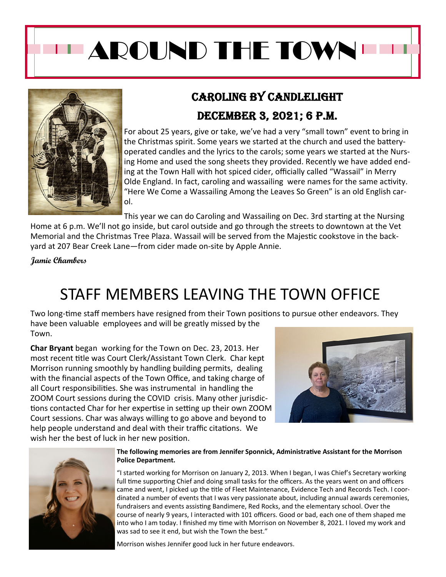# AROUND THE TOWN



### CAROLING BY CANDLELIGHT DECEMBER 3, 2021; 6 P.M.

For about 25 years, give or take, we've had a very "small town" event to bring in the Christmas spirit. Some years we started at the church and used the batteryoperated candles and the lyrics to the carols; some years we started at the Nurs‐ ing Home and used the song sheets they provided. Recently we have added end‐ ing at the Town Hall with hot spiced cider, officially called "Wassail" in Merry Olde England. In fact, caroling and wassailing were names for the same activity. "Here We Come a Wassailing Among the Leaves So Green" is an old English car‐ ol.

This year we can do Caroling and Wassailing on Dec. 3rd starting at the Nursing

Home at 6 p.m. We'll not go inside, but carol outside and go through the streets to downtown at the Vet Memorial and the Christmas Tree Plaza. Wassail will be served from the Majestic cookstove in the backyard at 207 Bear Creek Lane—from cider made on‐site by Apple Annie.

**Jamie Chambers** 

## STAFF MEMBERS LEAVING THE TOWN OFFICE

Two long-time staff members have resigned from their Town positions to pursue other endeavors. They have been valuable employees and will be greatly missed by the Town.

**Char Bryant** began working for the Town on Dec. 23, 2013. Her most recent title was Court Clerk/Assistant Town Clerk. Char kept Morrison running smoothly by handling building permits, dealing with the financial aspects of the Town Office, and taking charge of all Court responsibilities. She was instrumental in handling the ZOOM Court sessions during the COVID crisis. Many other jurisdic‐ tions contacted Char for her expertise in setting up their own ZOOM Court sessions. Char was always willing to go above and beyond to help people understand and deal with their traffic citations. We wish her the best of luck in her new position.





#### **The following memories are from Jennifer Sponnick, AdministraƟve Assistant for the Morrison Police Department.**

"I started working for Morrison on January 2, 2013. When I began, I was Chief's Secretary working full time supporting Chief and doing small tasks for the officers. As the years went on and officers came and went, I picked up the title of Fleet Maintenance, Evidence Tech and Records Tech. I coordinated a number of events that I was very passionate about, including annual awards ceremonies, fundraisers and events assisting Bandimere, Red Rocks, and the elementary school. Over the course of nearly 9 years, I interacted with 101 officers. Good or bad, each one of them shaped me into who I am today. I finished my time with Morrison on November 8, 2021. I loved my work and was sad to see it end, but wish the Town the best."

Morrison wishes Jennifer good luck in her future endeavors.